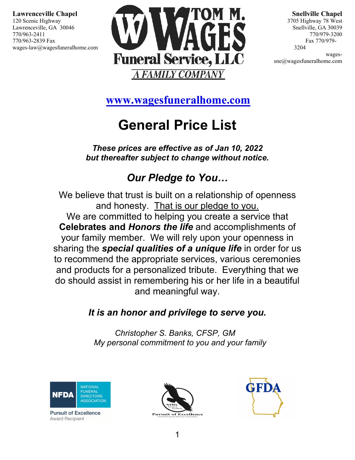

**Snellville Chapel** 3705 Highway 78 West Snellville, GA 30039 770/979-3200 Fax 770/979- 3204

wagessne@wagesfuneralhome.com

 $\ddot{\phantom{0}}$ **[www.wagesfuneralhome.com](http://www.wagesfuneralhome.com/)**

# **General Price List**

*These prices are effective as of Jan 10, 2022 but thereafter subject to change without notice.*

# *Our Pledge to You…*

We believe that trust is built on a relationship of openness and honesty. That is our pledge to you. We are committed to helping you create a service that **Celebrates and** *Honors the life* and accomplishments of your family member. We will rely upon your openness in sharing the *special qualities of a unique life* in order for us to recommend the appropriate services, various ceremonies and products for a personalized tribute. Everything that we do should assist in remembering his or her life in a beautiful and meaningful way.

## *It is an honor and privilege to serve you.*

*Christopher S. Banks, CFSP, GM My personal commitment to you and your family*



**Pursuit of Excellence Award Recipient** 



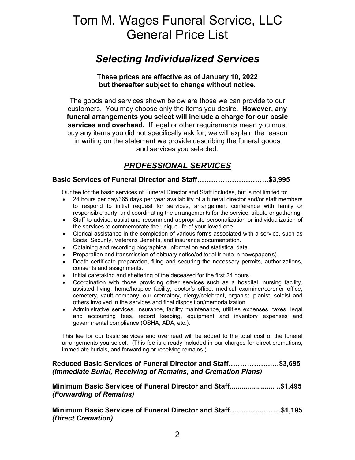# Tom M. Wages Funeral Service, LLC General Price List

### *Selecting Individualized Services*

**These prices are effective as of January 10, 2022 but thereafter subject to change without notice.**

The goods and services shown below are those we can provide to our customers. You may choose only the items you desire. **However, any funeral arrangements you select will include a charge for our basic services and overhead.** If legal or other requirements mean you must buy any items you did not specifically ask for, we will explain the reason in writing on the statement we provide describing the funeral goods and services you selected.

### *PROFESSIONAL SERVICES*

#### **Basic Services of Funeral Director and Staff………………………….\$3,995**

Our fee for the basic services of Funeral Director and Staff includes, but is not limited to:

- 24 hours per day/365 days per year availability of a funeral director and/or staff members to respond to initial request for services, arrangement conference with family or responsible party, and coordinating the arrangements for the service, tribute or gathering.
- Staff to advise, assist and recommend appropriate personalization or individualization of the services to commemorate the unique life of your loved one.
- Clerical assistance in the completion of various forms associated with a service, such as Social Security, Veterans Benefits, and insurance documentation.
- Obtaining and recording biographical information and statistical data.
- Preparation and transmission of obituary notice/editorial tribute in newspaper(s).
- Death certificate preparation, filing and securing the necessary permits, authorizations, consents and assignments.
- Initial caretaking and sheltering of the deceased for the first 24 hours.
- Coordination with those providing other services such as a hospital, nursing facility, assisted living, home/hospice facility, doctor's office, medical examiner/coroner office, cemetery, vault company, our crematory, clergy/celebrant, organist, pianist, soloist and others involved in the services and final disposition/memorialization.
- Administrative services, insurance, facility maintenance, utilities expenses, taxes, legal and accounting fees, record keeping, equipment and inventory expenses and governmental compliance (OSHA, ADA, etc.).

This fee for our basic services and overhead will be added to the total cost of the funeral arrangements you select. (This fee is already included in our charges for direct cremations, immediate burials, and forwarding or receiving remains.)

### **Reduced Basic Services of Funeral Director and Staff……………….…\$3,695** *(Immediate Burial, Receiving of Remains, and Cremation Plans)*

#### **Minimum Basic Services of Funeral Director and Staff....................... ..\$1,495** *(Forwarding of Remains)*

**Minimum Basic Services of Funeral Director and Staff…………..……...\$1,195** *(Direct Cremation)*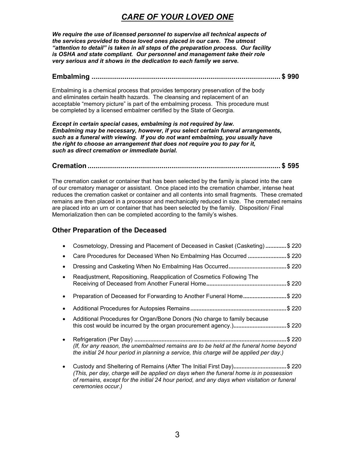### *CARE OF YOUR LOVED ONE*

*We require the use of licensed personnel to supervise all technical aspects of the services provided to those loved ones placed in our care. The utmost "attention to detail" is taken in all steps of the preparation process. Our facility is OSHA and state compliant. Our personnel and management take their role very serious and it shows in the dedication to each family we serve.*

#### **Embalming ................................................................................................. \$ 990**

Embalming is a chemical process that provides temporary preservation of the body and eliminates certain health hazards. The cleansing and replacement of an acceptable "memory picture" is part of the embalming process. This procedure must be completed by a licensed embalmer certified by the State of Georgia.

*Except in certain special cases, embalming is not required by law. Embalming may be necessary, however, if you select certain funeral arrangements, such as a funeral with viewing. If you do not want embalming, you usually have the right to choose an arrangement that does not require you to pay for it, such as direct cremation or immediate burial.*

#### **Cremation ................................................................................................... \$ 595**

The cremation casket or container that has been selected by the family is placed into the care of our crematory manager or assistant. Once placed into the cremation chamber, intense heat reduces the cremation casket or container and all contents into small fragments. These cremated remains are then placed in a processor and mechanically reduced in size. The cremated remains are placed into an urn or container that has been selected by the family. Disposition/ Final Memorialization then can be completed according to the family's wishes.

### **Other Preparation of the Deceased**

|           | Cosmetology, Dressing and Placement of Deceased in Casket (Casketing)                                                                                                            | \$220 |
|-----------|----------------------------------------------------------------------------------------------------------------------------------------------------------------------------------|-------|
|           |                                                                                                                                                                                  | \$220 |
|           |                                                                                                                                                                                  | \$220 |
|           | Readjustment, Repositioning, Reapplication of Cosmetics Following The                                                                                                            | \$220 |
|           | Preparation of Deceased for Forwarding to Another Funeral Home                                                                                                                   | \$220 |
|           |                                                                                                                                                                                  | \$220 |
| $\bullet$ | Additional Procedures for Organ/Bone Donors (No charge to family because<br>this cost would be incurred by the organ procurement agency.)\$ 220                                  |       |
|           | (If, for any reason, the unembalmed remains are to be held at the funeral home beyond<br>the initial 24 hour period in planning a service, this charge will be applied per day.) | \$220 |
|           | Custody and Sheltering of Remains (After The Initial First Day)\$ 220<br>(This nor day aborge will be applied an days when the funeral beme is in personalize                    |       |

*(This, per day, charge will be applied on days when the funeral home is in possession of remains, except for the initial 24 hour period, and any days when visitation or funeral ceremonies occur.)*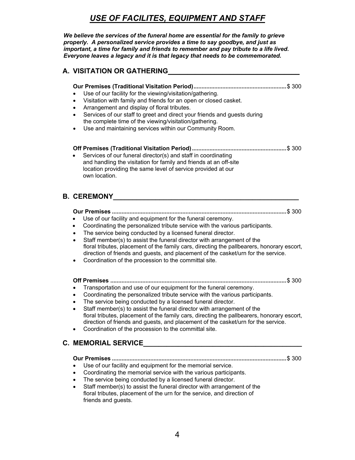### *USE OF FACILITES, EQUIPMENT AND STAFF*

*We believe the services of the funeral home are essential for the family to grieve properly. A personalized service provides a time to say goodbye, and just as important, a time for family and friends to remember and pay tribute to a life lived. Everyone leaves a legacy and it is that legacy that needs to be commemorated.*

### **A. VISITATION OR GATHERING\_\_\_\_\_\_\_\_\_\_\_\_\_\_\_\_\_\_\_\_\_\_\_\_\_\_\_\_\_\_\_\_\_\_**

### **Our Premises (Traditional Visitation Period)..........................................................**\$ 300

- Use of our facility for the viewing/visitation/gathering.
- Visitation with family and friends for an open or closed casket.
- Arrangement and display of floral tributes.
- Services of our staff to greet and direct your friends and guests during the complete time of the viewing/visitation/gathering.
- Use and maintaining services within our Community Room.

#### **Off Premises (Traditional Visitation Period)...........................................................**\$ 300

Services of our funeral director(s) and staff in coordinating and handling the visitation for family and friends at an off-site location providing the same level of service provided at our own location.

### **B. CEREMONY\_\_\_\_\_\_\_\_\_\_\_\_\_\_\_\_\_\_\_\_\_\_\_\_\_\_\_\_\_\_\_\_\_\_\_\_\_\_\_\_\_\_\_\_\_\_\_\_**

#### **Our Premises .............................................................................................................**\$ 300

- Use of our facility and equipment for the funeral ceremony.
- Coordinating the personalized tribute service with the various participants.
- The service being conducted by a licensed funeral director.
- Staff member(s) to assist the funeral director with arrangement of the floral tributes, placement of the family cars, directing the pallbearers, honorary escort, direction of friends and guests, and placement of the casket/urn for the service.
- Coordination of the procession to the committal site.

#### **Off Premises ..............................................................................................................**\$ 300

- Transportation and use of our equipment for the funeral ceremony.
- Coordinating the personalized tribute service with the various participants.
- The service being conducted by a licensed funeral director.
- Staff member(s) to assist the funeral director with arrangement of the floral tributes, placement of the family cars, directing the pallbearers, honorary escort, direction of friends and guests, and placement of the casket/urn for the service.
- Coordination of the procession to the committal site.

### **C. MEMORIAL SERVICE\_\_\_\_\_\_\_\_\_\_\_\_\_\_\_\_\_\_\_\_\_\_\_\_\_\_\_\_\_\_\_\_\_\_\_\_\_\_\_\_\_**

**Our Premises .............................................................................................................**\$ 300

- Use of our facility and equipment for the memorial service.
- Coordinating the memorial service with the various participants.
- The service being conducted by a licensed funeral director.
- Staff member(s) to assist the funeral director with arrangement of the floral tributes, placement of the urn for the service, and direction of friends and guests.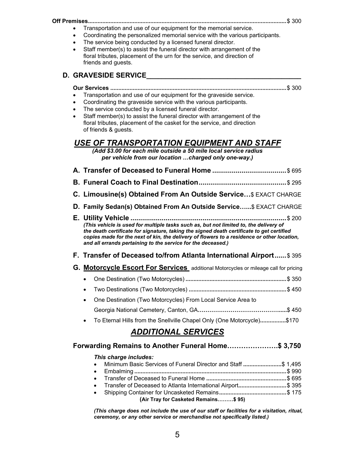- **Off Premises............................................................................................................................**\$ 300 • Transportation and use of our equipment for the memorial service.
	- Coordinating the personalized memorial service with the various participants.
	- The service being conducted by a licensed funeral director.
	- Staff member(s) to assist the funeral director with arrangement of the floral tributes, placement of the urn for the service, and direction of friends and guests.

### **D. GRAVESIDE SERVICE\_\_\_\_\_\_\_\_\_\_\_\_\_\_\_\_\_\_\_\_\_\_\_\_\_\_\_\_\_\_\_\_\_\_\_\_\_\_\_\_**

- **Our Services ..............................................................................................................**\$ 300
- Transportation and use of our equipment for the graveside service.
- Coordinating the graveside service with the various participants.
- The service conducted by a licensed funeral director.
- Staff member(s) to assist the funeral director with arrangement of the floral tributes, placement of the casket for the service, and direction of friends & guests.

### *USE OF TRANSPORTATION EQUIPMENT AND STAFF*

*(Add \$3.00 for each mile outside a 50 mile local service radius per vehicle from our location …charged only one-way.)*

- **A. Transfer of Deceased to Funeral Home ......................................**\$ 695
- **B. Funeral Coach to Final Destination.............................................**\$ 295
- **C. Limousine(s) Obtained From An Outside Service…**\$ EXACT CHARGE
- **D. Family Sedan(s) Obtained From An Outside Service…...**\$ EXACT CHARGE
- **E. Utility Vehicle ................................................................................**\$ 200 *(This vehicle is used for multiple tasks such as, but not limited to, the delivery of the death certificate for signature, taking the signed death certificate to get certified copies made for the next of kin, the delivery of flowers to a residence or other location, and all errands pertaining to the service for the deceased.)*

### **F. Transfer of Deceased to/from Atlanta International Airport......**\$ 395

- **G. Motorcycle Escort For Services** additional Motorcycles or mileage call for pricing
	- One Destination (Two Motorcycles) **...............................................................**\$ 350
	- Two Destinations (Two Motorcycles) **.............................................................**\$ 450
	- One Destination (Two Motorcycles) From Local Service Area to Georgia National Cemetery, Canton, GA**…………………………………….....**\$ 450
	- To Eternal Hills from the Snellville Chapel Only (One Motorcycle)**................**\$170

### *ADDITIONAL SERVICES*

### **Forwarding Remains to Another Funeral Home………………….\$ 3,750**

### *This charge includes:*

- Minimum Basic Services of Funeral Director and Staff **........................**\$ 1,495
- Embalming **...............................................................................................**\$ 990
- Transfer of Deceased to Funeral Home **..................................................**\$ 695 • Transfer of Deceased to Atlanta International Airport**..............................**\$ 395
- Shipping Container for Uncasketed Remains**..........................................**\$ 175  **(Air Tray for Casketed Remains………\$ 95)**

*(This charge does not include the use of our staff or facilities for a visitation, ritual, ceremony, or any other service or merchandise not specifically listed.)*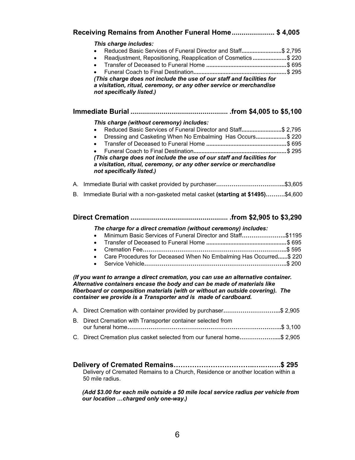|    | This charge includes:<br>Reduced Basic Services of Funeral Director and Staff\$ 2,795<br>$\bullet$<br>Readjustment, Repositioning, Reapplication of Cosmetics\$ 220<br>$\bullet$<br>$\bullet$<br>(This charge does not include the use of our staff and facilities for<br>a visitation, ritual, ceremony, or any other service or merchandise<br>not specifically listed.) |
|----|----------------------------------------------------------------------------------------------------------------------------------------------------------------------------------------------------------------------------------------------------------------------------------------------------------------------------------------------------------------------------|
|    |                                                                                                                                                                                                                                                                                                                                                                            |
|    | This charge (without ceremony) includes:                                                                                                                                                                                                                                                                                                                                   |
|    | Reduced Basic Services of Funeral Director and Staff\$ 2,795<br>$\bullet$                                                                                                                                                                                                                                                                                                  |
|    | Dressing and Casketing When No Embalming Has Occurs\$ 220<br>$\bullet$                                                                                                                                                                                                                                                                                                     |
|    | $\bullet$                                                                                                                                                                                                                                                                                                                                                                  |
|    | (This charge does not include the use of our staff and facilities for                                                                                                                                                                                                                                                                                                      |
|    | a visitation, ritual, ceremony, or any other service or merchandise                                                                                                                                                                                                                                                                                                        |
|    | not specifically listed.)                                                                                                                                                                                                                                                                                                                                                  |
|    |                                                                                                                                                                                                                                                                                                                                                                            |
| В. | Immediate Burial with a non-gasketed metal casket (starting at \$1495)\$4,600                                                                                                                                                                                                                                                                                              |
|    |                                                                                                                                                                                                                                                                                                                                                                            |
|    |                                                                                                                                                                                                                                                                                                                                                                            |
|    |                                                                                                                                                                                                                                                                                                                                                                            |
|    | The charge for a direct cremation (without ceremony) includes:                                                                                                                                                                                                                                                                                                             |
|    | $\bullet$                                                                                                                                                                                                                                                                                                                                                                  |
|    | Minimum Basic Services of Funeral Director and Staff\$1195<br>$\bullet$<br>$\bullet$                                                                                                                                                                                                                                                                                       |
|    | Care Procedures for Deceased When No Embalming Has Occurred \$220<br>$\bullet$                                                                                                                                                                                                                                                                                             |
|    | $\bullet$                                                                                                                                                                                                                                                                                                                                                                  |
|    | (If you want to arrange a direct cremation, you can use an alternative container.<br>Alternative containers encase the body and can be made of materials like<br>fiberboard or composition materials (with or without an outside covering). The<br>container we provide is a Transporter and is made of cardboard.                                                         |
| А. | Direct Cremation with container provided by purchaser\$ 2,905                                                                                                                                                                                                                                                                                                              |
|    | Direct Cremation with Transporter container selected from                                                                                                                                                                                                                                                                                                                  |
| В. | C. Direct Cremation plus casket selected from our funeral home\$ 2,905                                                                                                                                                                                                                                                                                                     |

*(Add \$3.00 for each mile outside a 50 mile local service radius per vehicle from our location …charged only one-way.)*

50 mile radius.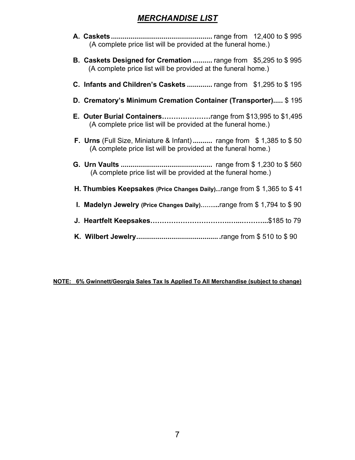### *MERCHANDISE LIST*

- **A. Caskets....................................................** range from 12,400 to \$ 995 (A complete price list will be provided at the funeral home.)
- **B. Caskets Designed for Cremation ..........** range from \$5,295 to \$ 995 (A complete price list will be provided at the funeral home.)
- **C. Infants and Children's Caskets .............** range from \$1,295 to \$ 195
- **D. Crematory's Minimum Cremation Container (Transporter).....** \$ 195
- **E. Outer Burial Containers…………………**range from \$13,995 to \$1,495 (A complete price list will be provided at the funeral home.)
- **F. Urns** (Full Size, Miniature & Infant)**..........** range from \$ 1,385 to \$ 50 (A complete price list will be provided at the funeral home.)
- **G. Urn Vaults ...............................................** range from \$ 1,230 to \$ 560 (A complete price list will be provided at the funeral home.)
- **H. Thumbies Keepsakes (Price Changes Daily)...**range from \$ 1,365 to \$ 41
- **I. Madelyn Jewelry (Price Changes Daily)……....**range from \$ 1,794 to \$ 90
- **J. Heartfelt Keepsakes…………………………….…...………...**\$185 to 79
- **K. Wilbert Jewelry.......................................... .**range from \$ 510 to \$ 90

#### **NOTE: 6% Gwinnett/Georgia Sales Tax Is Applied To All Merchandise (subject to change)**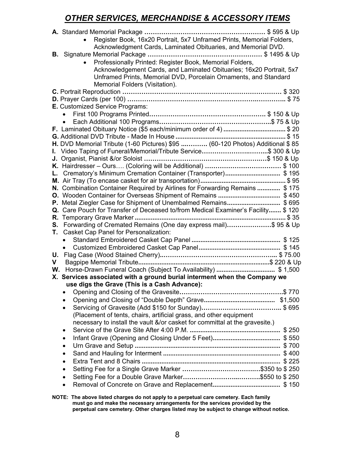### *OTHER SERVICES, MERCHANDISE & ACCESSORY ITEMS*

|                      | Register Book, 16x20 Portrait, 5x7 Unframed Prints, Memorial Folders,<br>Acknowledgment Cards, Laminated Obituaries, and Memorial DVD.<br>Professionally Printed: Register Book, Memorial Folders,<br>Acknowledgement Cards, and Laminated Obituaries; 16x20 Portrait, 5x7<br>Unframed Prints, Memorial DVD, Porcelain Ornaments, and Standard<br>Memorial Folders (Visitation). |
|----------------------|----------------------------------------------------------------------------------------------------------------------------------------------------------------------------------------------------------------------------------------------------------------------------------------------------------------------------------------------------------------------------------|
|                      | <b>E.</b> Customized Service Programs:                                                                                                                                                                                                                                                                                                                                           |
|                      | $\bullet$<br>F. Laminated Obituary Notice (\$5 each/minimum order of 4) \$ 20<br>H. DVD Memorial Tribute (1-60 Pictures) \$95  (60-120 Photos) Additional \$ 85<br>I. Video Taping of Funeral/Memorial/Tribute Service\$ 300 & Up                                                                                                                                                |
| S.                   | L. Crematory's Minimum Cremation Container (Transporter)\$ 195<br>N. Combination Container Required by Airlines for Forwarding Remains  \$175<br>P. Metal Ziegler Case for Shipment of Unembalmed Remains\$ 695<br>Q. Care Pouch for Transfer of Deceased to/from Medical Examiner's Facility \$120<br>Forwarding of Cremated Remains (One day express mail)\$ 95 & Up           |
| Τ.<br>U.<br>V.<br>W. | <b>Casket Cap Panel for Personalization:</b><br>$\bullet$                                                                                                                                                                                                                                                                                                                        |
|                      | X. Services associated with a ground burial interment when the Company we                                                                                                                                                                                                                                                                                                        |
|                      | use digs the Grave (This is a Cash Advance):<br>٠<br>$\bullet$<br>$\bullet$<br>(Placement of tents, chairs, artificial grass, and other equipment<br>necessary to install the vault &/or casket for committal at the gravesite.)<br>٠<br>٠<br>$\bullet$<br>$\bullet$<br>$\bullet$<br>$\bullet$<br>٠                                                                              |

**NOTE: The above listed charges do not apply to a perpetual care cemetery. Each family must go and make the necessary arrangements for the services provided by the perpetual care cemetery. Other charges listed may be subject to change without notice.**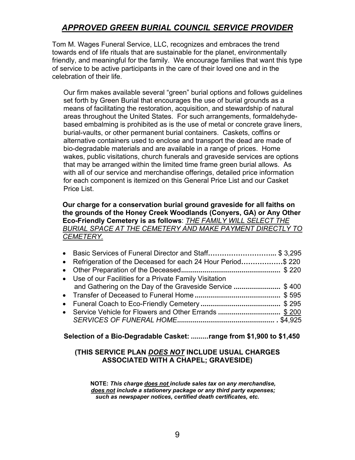### *APPROVED GREEN BURIAL COUNCIL SERVICE PROVIDER*

Tom M. Wages Funeral Service, LLC, recognizes and embraces the trend towards end of life rituals that are sustainable for the planet, environmentally friendly, and meaningful for the family. We encourage families that want this type of service to be active participants in the care of their loved one and in the celebration of their life.

Our firm makes available several "green" burial options and follows guidelines set forth by Green Burial that encourages the use of burial grounds as a means of facilitating the restoration, acquisition, and stewardship of natural areas throughout the United States. For such arrangements, formaldehydebased embalming is prohibited as is the use of metal or concrete grave liners, burial-vaults, or other permanent burial containers. Caskets, coffins or alternative containers used to enclose and transport the dead are made of bio-degradable materials and are available in a range of prices. Home wakes, public visitations, church funerals and graveside services are options that may be arranged within the limited time frame green burial allows. As with all of our service and merchandise offerings, detailed price information for each component is itemized on this General Price List and our Casket Price List.

#### **Our charge for a conservation burial ground graveside for all faiths on the grounds of the Honey Creek Woodlands (Conyers, GA) or Any Other Eco-Friendly Cemetery is as follows**: *THE FAMILY WILL SELECT THE BURIAL SPACE AT THE CEMETERY AND MAKE PAYMENT DIRECTLY TO CEMETERY.*

| • Basic Services of Funeral Director and Staff\$ 3,295        |  |
|---------------------------------------------------------------|--|
| • Refrigeration of the Deceased for each 24 Hour Period\$ 220 |  |
|                                                               |  |
| • Use of our Facilities for a Private Family Visitation       |  |
| and Gathering on the Day of the Graveside Service \$400       |  |
|                                                               |  |
|                                                               |  |
| • Service Vehicle for Flowers and Other Errands \$ 200        |  |
|                                                               |  |

### **Selection of a Bio-Degradable Casket: .........range from \$1,900 to \$1,450**

### **(THIS SERVICE PLAN** *DOES NOT* **INCLUDE USUAL CHARGES ASSOCIATED WITH A CHAPEL; GRAVESIDE)**

**NOTE:** *This charge does not include sales tax on any merchandise, does not include a stationery package or any third party expenses; such as newspaper notices, certified death certificates, etc.*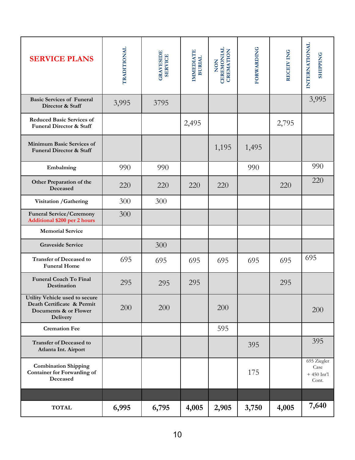| <b>SERVICE PLANS</b>                                                                                     | TRADITIONAL | <b>GRAVESIDE</b><br><b>SERVICE</b> | <b>IMMEDIATE</b><br><b>BURIAL</b> | <b>CEREMONIAL</b><br><b>CREMATION</b><br>NON | <b>FORWARDING</b> | RECEIV ING | INTERNATIONAL<br><b>SHIPPING</b>             |
|----------------------------------------------------------------------------------------------------------|-------------|------------------------------------|-----------------------------------|----------------------------------------------|-------------------|------------|----------------------------------------------|
| <b>Basic Services of Funeral</b><br>Director & Staff                                                     | 3,995       | 3795                               |                                   |                                              |                   |            | 3,995                                        |
| <b>Reduced Basic Services of</b><br><b>Funeral Director &amp; Staff</b>                                  |             |                                    | 2,495                             |                                              |                   | 2,795      |                                              |
| Minimum Basic Services of<br><b>Funeral Director &amp; Staff</b>                                         |             |                                    |                                   | 1,195                                        | 1,495             |            |                                              |
| Embalming                                                                                                | 990         | 990                                |                                   |                                              | 990               |            | 990                                          |
| Other Preparation of the<br>Deceased                                                                     | 220         | 220                                | 220                               | 220                                          |                   | 220        | 220                                          |
| Visitation / Gathering                                                                                   | 300         | 300                                |                                   |                                              |                   |            |                                              |
| <b>Funeral Service/Ceremony</b><br><b>Additional \$200 per 2 hours</b>                                   | 300         |                                    |                                   |                                              |                   |            |                                              |
| <b>Memorial Service</b>                                                                                  |             |                                    |                                   |                                              |                   |            |                                              |
| <b>Graveside Service</b>                                                                                 |             | 300                                |                                   |                                              |                   |            |                                              |
| <b>Transfer of Deceased to</b><br><b>Funeral Home</b>                                                    | 695         | 695                                | 695                               | 695                                          | 695               | 695        | 695                                          |
| <b>Funeral Coach To Final</b><br>Destination                                                             | 295         | 295                                | 295                               |                                              |                   | 295        |                                              |
| Utility Vehicle used to secure<br>Death Certificate & Permit<br>Documents & or Flower<br><b>Delivery</b> | 200         | 200                                |                                   | 200                                          |                   |            | 200                                          |
| <b>Cremation Fee</b>                                                                                     |             |                                    |                                   | 595                                          |                   |            |                                              |
| <b>Transfer of Deceased to</b><br>Atlanta Int. Airport                                                   |             |                                    |                                   |                                              | 395               |            | 395                                          |
| <b>Combination Shipping</b><br><b>Container for Forwarding of</b><br>Deceased                            |             |                                    |                                   |                                              | 175               |            | 695 Ziegler<br>Case<br>$+450$ Int'l<br>Cont. |
|                                                                                                          |             |                                    |                                   |                                              |                   |            |                                              |
| <b>TOTAL</b>                                                                                             | 6,995       | 6,795                              | 4,005                             | 2,905                                        | 3,750             | 4,005      | 7,640                                        |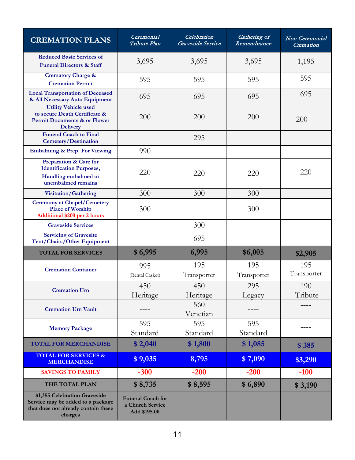| <b>CREMATION PLANS</b>                                                                                               | Ceremonial<br>Tribute Plan                                   | Celebration<br>Graveside Service | Gathering of<br>Remembrance | Non Ceremonial<br>Cremation |
|----------------------------------------------------------------------------------------------------------------------|--------------------------------------------------------------|----------------------------------|-----------------------------|-----------------------------|
| <b>Reduced Basic Services of</b><br><b>Funeral Directors &amp; Staff</b>                                             | 3,695                                                        | 3,695                            | 3,695                       | 1,195                       |
| <b>Crematory Charge &amp;</b><br><b>Cremation Permit</b>                                                             | 595                                                          | 595                              | 595                         | 595                         |
| <b>Local Transportation of Deceased</b><br>& All Necessary Auto Equipment                                            | 695                                                          | 695                              | 695                         | 695                         |
| <b>Utility Vehicle used</b><br>to secure Death Certificate &<br>Permit Documents & or Flower<br><b>Delivery</b>      | 200                                                          | 200                              | 200                         | 200                         |
| <b>Funeral Coach to Final</b><br><b>Cemetery/Destination</b>                                                         |                                                              | 295                              |                             |                             |
| <b>Embalming &amp; Prep. For Viewing</b>                                                                             | 990                                                          |                                  |                             |                             |
| <b>Preparation &amp; Care for</b><br><b>Identification Purposes,</b><br>Handling embalmed or<br>unembalmed remains   | 220                                                          | 220                              | 220                         | 220                         |
| Visitation/Gathering                                                                                                 | 300                                                          | 300                              | 300                         |                             |
| <b>Ceremony at Chapel/Cemetery</b><br><b>Place of Worship</b><br><b>Additional \$200 per 2 hours</b>                 | 300                                                          |                                  | 300                         |                             |
| <b>Graveside Services</b>                                                                                            |                                                              | 300                              |                             |                             |
| <b>Servicing of Gravesite</b><br>Tent/Chairs/Other Equipment                                                         |                                                              | 695                              |                             |                             |
| <b>TOTAL FOR SERVICES</b>                                                                                            | \$6,995                                                      | 6,995                            | \$6,005                     | \$2,905                     |
| <b>Cremation Container</b>                                                                                           | 995<br>(Rental Casket)                                       | 195<br>Transporter               | 195<br>Transporter          | 195<br>Transporter          |
| <b>Cremation Urn</b>                                                                                                 | 450<br>Heritage                                              | 450<br>Heritage                  | 295<br>Legacy               | 190<br>Tribute              |
| <b>Cremation Urn Vault</b>                                                                                           |                                                              | 560<br>Venetian                  |                             |                             |
| <b>Memory Package</b>                                                                                                | 595<br>Standard                                              | 595<br>Standard                  | 595<br>Standard             |                             |
| <b>TOTAL FOR MERCHANDISE</b>                                                                                         | \$2,040                                                      | \$1,800                          | \$1,085                     | \$385                       |
| <b>TOTAL FOR SERVICES &amp;</b><br><b>MERCHANDISE</b>                                                                | \$9,035                                                      | 8,795                            | \$7,090                     | \$3,290                     |
| <b>SAVINGS TO FAMILY</b>                                                                                             | $-300$                                                       | $-200$                           | $-200$                      | $-100$                      |
| THE TOTAL PLAN                                                                                                       | \$8,735                                                      | \$8,595                          | \$6,890                     | \$3,190                     |
| \$1,355 Celebration Graveside<br>Service may be added to a package<br>that does not already contain these<br>charges | <b>Funeral Coach for</b><br>a Church Service<br>Add \$195.00 |                                  |                             |                             |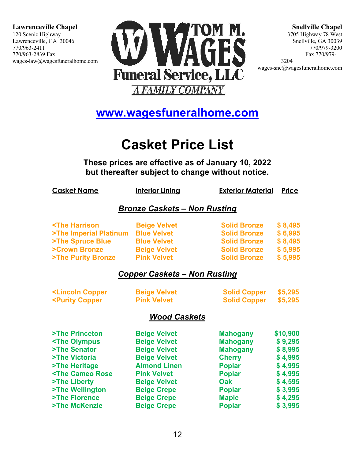

**Snellville Chapel** 3705 Highway 78 West Snellville, GA 30039 770/979-3200 Fax 770/979- 3204

wages-sne@wagesfuneralhome.com

### **[www.wagesfuneralhome.com](http://www.wagesfuneralhome.com/)**

# **Casket Price List**

**The[se prices are effective as of January 10,](http://www.wagesfuneralhome.com/) 2022 but [thereafter subject to](http://www.wagesfuneralhome.com/) change without notice.**

| <b>Casket Name</b>                                                                                           | <b>Interior Lining</b>              | <b>Exterior Material</b> | <b>Price</b> |
|--------------------------------------------------------------------------------------------------------------|-------------------------------------|--------------------------|--------------|
|                                                                                                              | <b>Bronze Caskets - Non Rusting</b> |                          |              |
| <the harrison<="" td=""><td><b>Beige Velvet</b></td><td><b>Solid Bronze</b></td><td>\$8,495</td></the>       | <b>Beige Velvet</b>                 | <b>Solid Bronze</b>      | \$8,495      |
| >The Imperial Platinum                                                                                       | <b>Blue Velvet</b>                  | <b>Solid Bronze</b>      | \$6,995      |
| >The Spruce Blue                                                                                             | <b>Blue Velvet</b>                  | <b>Solid Bronze</b>      | \$8,495      |
| >Crown Bronze                                                                                                | <b>Beige Velvet</b>                 | <b>Solid Bronze</b>      | \$5,995      |
| >The Purity Bronze                                                                                           | <b>Pink Velvet</b>                  | <b>Solid Bronze</b>      | \$5,995      |
|                                                                                                              | <b>Copper Caskets - Non Rusting</b> |                          |              |
| <lincoln copper<="" td=""><td><b>Beige Velvet</b></td><td><b>Solid Copper</b></td><td>\$5,295</td></lincoln> | <b>Beige Velvet</b>                 | <b>Solid Copper</b>      | \$5,295      |
| <purity copper<="" td=""><td><b>Pink Velvet</b></td><td><b>Solid Copper</b></td><td>\$5,295</td></purity>    | <b>Pink Velvet</b>                  | <b>Solid Copper</b>      | \$5,295      |
|                                                                                                              | <b>Wood Caskets</b>                 |                          |              |
| >The Princeton                                                                                               | <b>Beige Velvet</b>                 | <b>Mahogany</b>          | \$10,900     |
| <the olympus<="" td=""><td><b>Beige Velvet</b></td><td><b>Mahogany</b></td><td>\$9,295</td></the>            | <b>Beige Velvet</b>                 | <b>Mahogany</b>          | \$9,295      |
| >The Senator                                                                                                 | <b>Beige Velvet</b>                 | <b>Mahogany</b>          | \$8,995      |
| >The Victoria                                                                                                | <b>Beige Velvet</b>                 | <b>Cherry</b>            | \$4,995      |
| >The Heritage                                                                                                | <b>Almond Linen</b>                 | <b>Poplar</b>            | \$4,995      |
| <the cameo="" rose<="" td=""><td><b>Pink Velvet</b></td><td><b>Poplar</b></td><td>\$4,995</td></the>         | <b>Pink Velvet</b>                  | <b>Poplar</b>            | \$4,995      |
| >The Liberty                                                                                                 | <b>Beige Velvet</b>                 | <b>Oak</b>               | \$4,595      |
| >The Wellington                                                                                              | <b>Beige Crepe</b>                  | <b>Poplar</b>            | \$3,995      |
| >The Florence                                                                                                | <b>Beige Crepe</b>                  | <b>Maple</b>             | \$4,295      |

**>The McKenzie Crepe Beige Crepe Poplar** \$ 3,995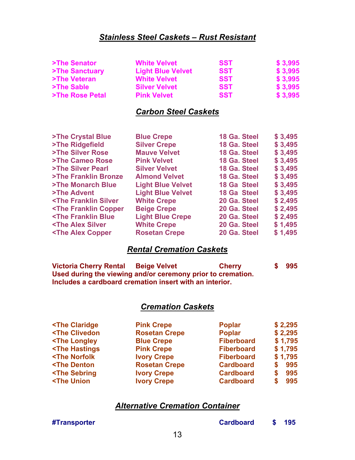### *Stainless Steel Caskets – Rust Resistant*

| >The Senator    | <b>White Velvet</b>      | <b>SST</b> | \$3,995  |
|-----------------|--------------------------|------------|----------|
| >The Sanctuary  | <b>Light Blue Velvet</b> | <b>SST</b> | \$3,995  |
| >The Veteran    | <b>White Velvet</b>      | <b>SST</b> | \$ 3,995 |
| >The Sable      | <b>Silver Velvet</b>     | <b>SST</b> | \$3,995  |
| >The Rose Petal | <b>Pink Velvet</b>       | <b>SST</b> | \$ 3,995 |

### *Carbon Steel Caskets*

| >The Crystal Blue                                                                                           | <b>Blue Crepe</b>        | 18 Ga. Steel       | \$3,495 |
|-------------------------------------------------------------------------------------------------------------|--------------------------|--------------------|---------|
| >The Ridgefield                                                                                             | <b>Silver Crepe</b>      | 18 Ga. Steel       | \$3,495 |
| >The Silver Rose                                                                                            | <b>Mauve Velvet</b>      | 18 Ga. Steel       | \$3,495 |
| >The Cameo Rose                                                                                             | <b>Pink Velvet</b>       | 18 Ga. Steel       | \$3,495 |
| >The Silver Pearl                                                                                           | <b>Silver Velvet</b>     | 18 Ga. Steel       | \$3,495 |
| >The Franklin Bronze                                                                                        | <b>Almond Velvet</b>     | 18 Ga. Steel       | \$3,495 |
| >The Monarch Blue                                                                                           | <b>Light Blue Velvet</b> | <b>18 Ga Steel</b> | \$3,495 |
| >The Advent                                                                                                 | <b>Light Blue Velvet</b> | <b>18 Ga Steel</b> | \$3,495 |
| <the franklin="" silver<="" td=""><td><b>White Crepe</b></td><td>20 Ga. Steel</td><td>\$2,495</td></the>    | <b>White Crepe</b>       | 20 Ga. Steel       | \$2,495 |
| <the copper<="" franklin="" td=""><td><b>Beige Crepe</b></td><td>20 Ga. Steel</td><td>\$2,495</td></the>    | <b>Beige Crepe</b>       | 20 Ga. Steel       | \$2,495 |
| <the blue<="" franklin="" td=""><td><b>Light Blue Crepe</b></td><td>20 Ga. Steel</td><td>\$2,495</td></the> | <b>Light Blue Crepe</b>  | 20 Ga. Steel       | \$2,495 |
| <the alex="" silver<="" td=""><td><b>White Crepe</b></td><td>20 Ga. Steel</td><td>\$1,495</td></the>        | <b>White Crepe</b>       | 20 Ga. Steel       | \$1,495 |
| <the alex="" copper<="" td=""><td><b>Rosetan Crepe</b></td><td>20 Ga. Steel</td><td>\$1,495</td></the>      | <b>Rosetan Crepe</b>     | 20 Ga. Steel       | \$1,495 |
|                                                                                                             |                          |                    |         |

### *Rental Cremation Caskets*

**Victoria Cherry Rental Beige Velvet Cherry \$ 995 Used during the viewing and/or ceremony prior to cremation. Includes a cardboard cremation insert with an interior.**

### *Cremation Caskets*

| <the claridge<="" th=""><th><b>Pink Crepe</b></th><th><b>Poplar</b></th><th>\$2,295</th></the>      | <b>Pink Crepe</b>    | <b>Poplar</b>     | \$2,295  |
|-----------------------------------------------------------------------------------------------------|----------------------|-------------------|----------|
| <the clivedon<="" td=""><td><b>Rosetan Crepe</b></td><td><b>Poplar</b></td><td>\$2,295</td></the>   | <b>Rosetan Crepe</b> | <b>Poplar</b>     | \$2,295  |
| <the longley<="" td=""><td><b>Blue Crepe</b></td><td><b>Fiberboard</b></td><td>\$1,795</td></the>   | <b>Blue Crepe</b>    | <b>Fiberboard</b> | \$1,795  |
| <the hastings<="" td=""><td><b>Pink Crepe</b></td><td><b>Fiberboard</b></td><td>\$1,795</td></the>  | <b>Pink Crepe</b>    | <b>Fiberboard</b> | \$1,795  |
| <the norfolk<="" td=""><td><b>Ivory Crepe</b></td><td><b>Fiberboard</b></td><td>\$1,795</td></the>  | <b>Ivory Crepe</b>   | <b>Fiberboard</b> | \$1,795  |
| <the denton<="" td=""><td><b>Rosetan Crepe</b></td><td><b>Cardboard</b></td><td>995</td></the>      | <b>Rosetan Crepe</b> | <b>Cardboard</b>  | 995      |
| <the sebring<="" td=""><td><b>Ivory Crepe</b></td><td><b>Cardboard</b></td><td>995<br/>S</td></the> | <b>Ivory Crepe</b>   | <b>Cardboard</b>  | 995<br>S |
| <the td="" union<=""><td><b>Ivory Crepe</b></td><td><b>Cardboard</b></td><td>995<br/>S</td></the>   | <b>Ivory Crepe</b>   | <b>Cardboard</b>  | 995<br>S |
|                                                                                                     |                      |                   |          |

### *Alternative Cremation Container*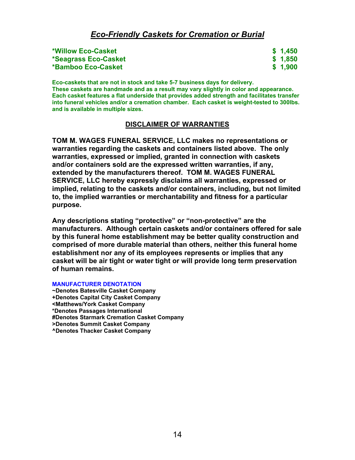### *Eco-Friendly Caskets for Cremation or Burial*

| *Willow Eco-Casket   | \$1,450 |
|----------------------|---------|
| *Seagrass Eco-Casket | \$1,850 |
| *Bamboo Eco-Casket   | \$1,900 |

**Eco-caskets that are not in stock and take 5-7 business days for delivery. These caskets are handmade and as a result may vary slightly in color and appearance. Each casket features a flat underside that provides added strength and facilitates transfer into funeral vehicles and/or a cremation chamber. Each casket is weight-tested to 300lbs. and is available in multiple sizes.**

#### **DISCLAIMER OF WARRANTIES**

**TOM M. WAGES FUNERAL SERVICE, LLC makes no representations or warranties regarding the caskets and containers listed above. The only warranties, expressed or implied, granted in connection with caskets and/or containers sold are the expressed written warranties, if any, extended by the manufacturers thereof. TOM M. WAGES FUNERAL SERVICE, LLC hereby expressly disclaims all warranties, expressed or implied, relating to the caskets and/or containers, including, but not limited to, the implied warranties or merchantability and fitness for a particular purpose.**

**Any descriptions stating "protective" or "non-protective" are the manufacturers. Although certain caskets and/or containers offered for sale by this funeral home establishment may be better quality construction and comprised of more durable material than others, neither this funeral home establishment nor any of its employees represents or implies that any casket will be air tight or water tight or will provide long term preservation of human remains.**

**MANUFACTURER DENOTATION**

**~Denotes Batesville Casket Company +Denotes Capital City Casket Company <Matthews/York Casket Company \*Denotes Passages International #Denotes Starmark Cremation Casket Company >Denotes Summit Casket Company ^Denotes Thacker Casket Company**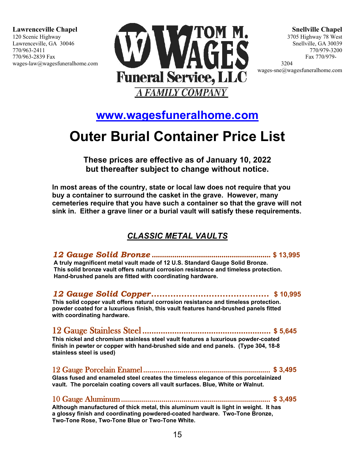

**Snellville Chapel** 3705 Highway 78 West Snellville, GA 30039 770/979-3200 Fax 770/979- 3204

wages-sne@wagesfuneralhome.com

### **[www.wagesfuneralhome.com](http://www.wagesfuneralhome.com/)**

# **Out[er Burial Container Price](http://www.wagesfuneralhome.com/) List**

**The[se prices are effective](http://www.wagesfuneralhome.com/) as of January 10, 2022 but thereafter [subject to change without no](http://www.wagesfuneralhome.com/)tice.**

**In most areas [of the country, state or loc](http://www.wagesfuneralhome.com/)al law does not require that you buy a container to surround the casket in the grave. However, many cemeteries re[quire that you have such a container so that th](http://www.wagesfuneralhome.com/)e grave will not sink in. Eithe[r a grave liner or a burial va](http://www.wagesfuneralhome.com/)ult will satisfy these requirements.**

### *CL[ASSIC METAL VAULTS](http://www.wagesfuneralhome.com/)*

*12 Gauge [Solid Bronze](http://www.wagesfuneralhome.com/)* **.......................................................... \$ 13,995 A truly magnificent metal vault made of 12 U.S. Standard Gauge Solid Bronze. This solid bronze vault offers natural corrosion resistance and timeless protection. Hand-brushed panels are fitted with coordinating hardware.** 

### *12 Gauge Solid Copper***........................................... \$ 10,995**

**This solid copper vault offers natural corrosion resistance and timeless protection. powder coated for a luxurious finish, this vault features hand-brushed panels fitted with coordinating hardware.** 

### 12 Gauge Stainless Steel ........................................................ **\$ 5,645 This nickel and chromium stainless steel vault features a luxurious powder-coated finish in pewter or copper with hand-brushed side and end panels. (Type 304, 18-8 stainless steel is used)**

12 Gauge Porcelain Enamel ............................................................... **\$ 3,495 Glass fused and enameled steel creates the timeless elegance of this porcelainized vault. The porcelain coating covers all vault surfaces. Blue, White or Walnut.** 

10 Gauge Aluminum .......................................................................... **\$ 3,495 Although manufactured of thick metal, this aluminum vault is light in weight. It has a glossy finish and coordinating powdered-coated hardware. Two-Tone Bronze, Two-Tone Rose, Two-Tone Blue or Two-Tone White.**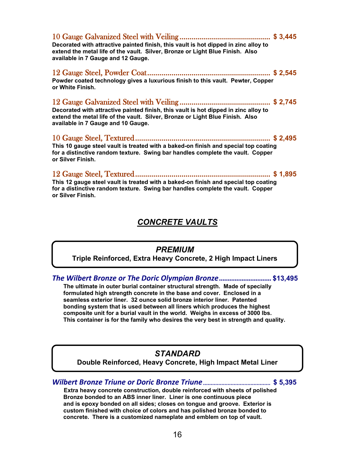| Decorated with attractive painted finish, this vault is hot dipped in zinc alloy to<br>extend the metal life of the vault. Silver, Bronze or Light Blue Finish. Also<br>available in 7 Gauge and 12 Gauge. |  |
|------------------------------------------------------------------------------------------------------------------------------------------------------------------------------------------------------------|--|
| Powder coated technology gives a luxurious finish to this vault. Pewter, Copper<br>or White Finish.                                                                                                        |  |
| Decorated with attractive painted finish, this vault is hot dipped in zinc alloy to<br>extend the metal life of the vault. Silver, Bronze or Light Blue Finish. Also<br>available in 7 Gauge and 10 Gauge. |  |
| This 10 gauge steel vault is treated with a baked-on finish and special top coating<br>for a distinctive random texture. Swing bar handles complete the vault. Copper<br>or Silver Finish.                 |  |
| This 12 gauge steel vault is treated with a baked-on finish and special top coating<br>for a distinctive random texture. Swing bar handles complete the vault. Copper<br>or Silver Finish.                 |  |

### *CONCRETE VAULTS*

### *PREMIUM*

**Triple Reinforced, Extra Heavy Concrete, 2 High Impact Liners**

*The Wilbert Bronze or The Doric Olympian Bronze***.............................. \$13,495**

 **The ultimate in outer burial container structural strength. Made of specially formulated high strength concrete in the base and cover. Enclosed in a seamless exterior liner. 32 ounce solid bronze interior liner. Patented bonding system that is used between all liners which produces the highest composite unit for a burial vault in the world. Weighs in excess of 3000 lbs. This container is for the family who desires the very best in strength and quality.**

### *STANDARD*

**Double Reinforced, Heavy Concrete, High Impact Metal Liner**

*Wilbert Bronze Triune or Doric Bronze Triune* ............................................ **\$ 5,395**

 **Extra heavy concrete construction, double reinforced with sheets of polished Bronze bonded to an ABS inner liner. Liner is one continuous piece and is epoxy bonded on all sides; closes on tongue and groove. Exterior is custom finished with choice of colors and has polished bronze bonded to concrete. There is a customized nameplate and emblem on top of vault.**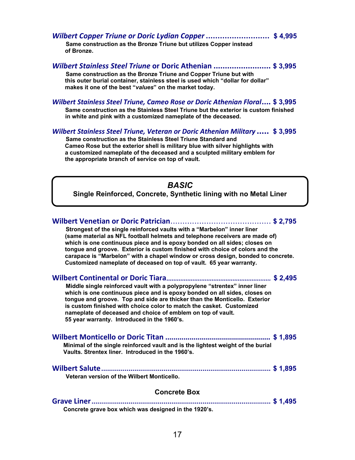*Wilbert Copper Triune or Doric Lydian Copper***........................... \$ 4,995 Same construction as the Bronze Triune but utilizes Copper instead of Bronze.** 

*Wilbert Stainless Steel Triune* **or Doric Athenian ......................... \$ 3,995 Same construction as the Bronze Triune and Copper Triune but with this outer burial container, stainless steel is used which "dollar for dollar" makes it one of the best "***values***" on the market today.**

### *Wilbert Stainless Steel Triune, Cameo Rose or Doric Athenian Floral***.... \$ 3,995**

**Same construction as the Stainless Steel Triune but the exterior is custom finished in white and pink with a customized nameplate of the deceased.**

#### *Wilbert Stainless Steel Triune, Veteran or Doric Athenian Military .....* **\$ 3,995**

 **Same construction as the Stainless Steel Triune Standard and Cameo Rose but the exterior shell is military blue with silver highlights with a customized nameplate of the deceased and a sculpted military emblem for the appropriate branch of service on top of vault.**

### *BASIC*

**Single Reinforced, Concrete, Synthetic lining with no Metal Liner** 

| Strongest of the single reinforced vaults with a "Marbelon" inner liner<br>(same material as NFL football helmets and telephone receivers are made of)<br>which is one continuous piece and is epoxy bonded on all sides; closes on<br>tongue and groove. Exterior is custom finished with choice of colors and the<br>carapace is "Marbelon" with a chapel window or cross design, bonded to concrete.<br>Customized nameplate of deceased on top of vault. 65 year warranty. |  |  |  |
|--------------------------------------------------------------------------------------------------------------------------------------------------------------------------------------------------------------------------------------------------------------------------------------------------------------------------------------------------------------------------------------------------------------------------------------------------------------------------------|--|--|--|
|                                                                                                                                                                                                                                                                                                                                                                                                                                                                                |  |  |  |
| Middle single reinforced vault with a polypropylene "strentex" inner liner<br>which is one continuous piece and is epoxy bonded on all sides, closes on<br>tongue and groove. Top and side are thicker than the Monticello. Exterior<br>is custom finished with choice color to match the casket. Customized<br>nameplate of deceased and choice of emblem on top of vault.<br>55 year warranty. Introduced in the 1960's.                                                     |  |  |  |
|                                                                                                                                                                                                                                                                                                                                                                                                                                                                                |  |  |  |
| Minimal of the single reinforced vault and is the lightest weight of the burial<br>Vaults. Strentex liner. Introduced in the 1960's.                                                                                                                                                                                                                                                                                                                                           |  |  |  |
|                                                                                                                                                                                                                                                                                                                                                                                                                                                                                |  |  |  |
| Veteran version of the Wilbert Monticello.                                                                                                                                                                                                                                                                                                                                                                                                                                     |  |  |  |
| <b>Concrete Box</b>                                                                                                                                                                                                                                                                                                                                                                                                                                                            |  |  |  |
|                                                                                                                                                                                                                                                                                                                                                                                                                                                                                |  |  |  |

**Concrete grave box which was designed in the 1920's.**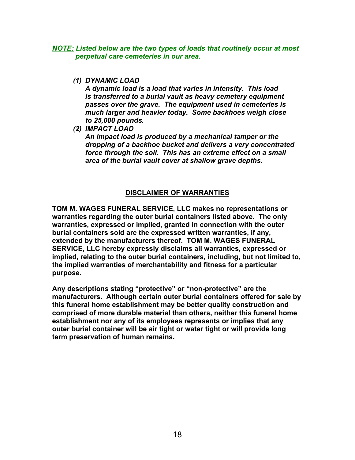*NOTE: Listed below are the two types of loads that routinely occur at most perpetual care cemeteries in our area.*

*(1) DYNAMIC LOAD*

*A dynamic load is a load that varies in intensity. This load is transferred to a burial vault as heavy cemetery equipment passes over the grave. The equipment used in cemeteries is much larger and heavier today. Some backhoes weigh close to 25,000 pounds.*

*(2) IMPACT LOAD*

*An impact load is produced by a mechanical tamper or the dropping of a backhoe bucket and delivers a very concentrated force through the soil. This has an extreme effect on a small area of the burial vault cover at shallow grave depths.*

### **DISCLAIMER OF WARRANTIES**

**TOM M. WAGES FUNERAL SERVICE, LLC makes no representations or warranties regarding the outer burial containers listed above. The only warranties, expressed or implied, granted in connection with the outer burial containers sold are the expressed written warranties, if any, extended by the manufacturers thereof. TOM M. WAGES FUNERAL SERVICE, LLC hereby expressly disclaims all warranties, expressed or implied, relating to the outer burial containers, including, but not limited to, the implied warranties of merchantability and fitness for a particular purpose.**

**Any descriptions stating "protective" or "non-protective" are the manufacturers. Although certain outer burial containers offered for sale by this funeral home establishment may be better quality construction and comprised of more durable material than others, neither this funeral home establishment nor any of its employees represents or implies that any outer burial container will be air tight or water tight or will provide long term preservation of human remains.**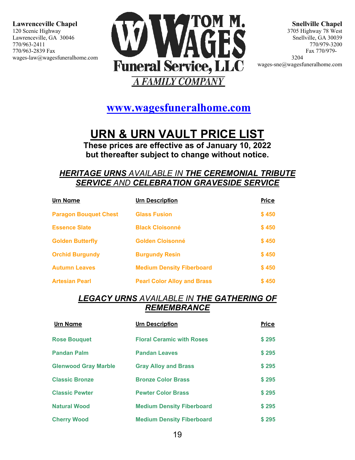

**Snellville Chapel** 3705 Highway 78 West Snellville, GA 30039 770/979-3200 Fax 770/979- 3204 wages-sne@wagesfuneralhome.com

**[www.wagesfuneralhome.com](http://www.wagesfuneralhome.com/)**

# **URN & URN VAULT PRICE LIST**

**These prices are effective as of January 10, 2022 but thereafter subject to change without notice.**

### *HERITAGE URNS AVAILABLE IN THE CEREMONIAL TRIBUTE SERVICE AND CELEBRATION GRAVESIDE SERVICE*

| <b>Urn Name</b>              | <b>Urn Description</b>             | Price |
|------------------------------|------------------------------------|-------|
| <b>Paragon Bouquet Chest</b> | <b>Glass Fusion</b>                | \$450 |
| <b>Essence Slate</b>         | <b>Black Cloisonné</b>             | \$450 |
| <b>Golden Butterfly</b>      | Golden Cloisonné                   | \$450 |
| <b>Orchid Burgundy</b>       | <b>Burgundy Resin</b>              | \$450 |
| <b>Autumn Leaves</b>         | <b>Medium Density Fiberboard</b>   | \$450 |
| <b>Artesian Pearl</b>        | <b>Pearl Color Alloy and Brass</b> | \$450 |

### *LEGACY URNS AVAILABLE IN THE GATHERING OF REMEMBRANCE*

| Urn Name                    | <b>Urn Description</b>           | Price |
|-----------------------------|----------------------------------|-------|
| <b>Rose Bouquet</b>         | <b>Floral Ceramic with Roses</b> | \$295 |
| <b>Pandan Palm</b>          | <b>Pandan Leaves</b>             | \$295 |
| <b>Glenwood Gray Marble</b> | <b>Gray Alloy and Brass</b>      | \$295 |
| <b>Classic Bronze</b>       | <b>Bronze Color Brass</b>        | \$295 |
| <b>Classic Pewter</b>       | <b>Pewter Color Brass</b>        | \$295 |
| <b>Natural Wood</b>         | <b>Medium Density Fiberboard</b> | \$295 |
| <b>Cherry Wood</b>          | <b>Medium Density Fiberboard</b> | \$295 |